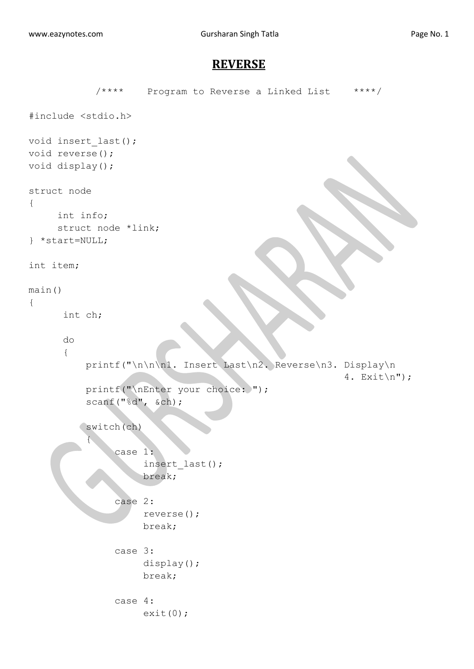## **REVERSE**

```
/**** Program to Reverse a Linked List ****/
#include <stdio.h>
void insert_last();
void reverse();
void display();
struct node
{
     int info;
     struct node *link;
} *start=NULL;
int item;
main()
{
       int ch;
       do
       {
           printf("\n\n\n1. Insert Last\n2. Reverse\n3. Display\n
                                                         4. Exit\ln");
          printf("\nEnter your choice: ");
           scanf("%d", &ch);
           switch(ch)
 {
                case 1:
                      insert_last();
                      break;
                case 2:
                      reverse();
                      break;
                case 3:
                     display();
                    break;
               case 4:
                     ext(0);
```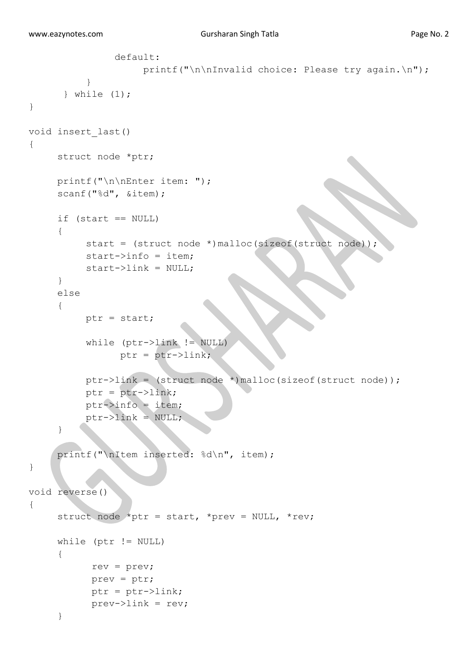```
 default:
                    printf("\n\nInvalid choice: Please try again.\n");
 }
       } while (1);
} 
void insert_last()
{
     struct node *ptr;
     printf("\n\nEnter item: ");
     scanf("%d", &item);
     if (start == NULL)
     {
          start = (struct node *)malloc(sizeof(struct node));
          start->info = item;
          start->link = NULL;
     }
     else
     {
          ptr = start;
           while (ptr->link != NULL)
                ptr = ptr->link; ptr->link = (struct node *)malloc(sizeof(struct node));
           ptr = ptr->link;
          ptr->info = item;
          ptr->link = NULL;}
     printf("\nItem inserted: %d\n", item);
}
void reverse()
{
     struct node *ptr = start, *prev = NULL, *rev;
      while (ptr != NULL)
      {
            rev = prev;
            prev = ptr;
            ptr = ptr->link;
            prev->link = rev;
      }
```